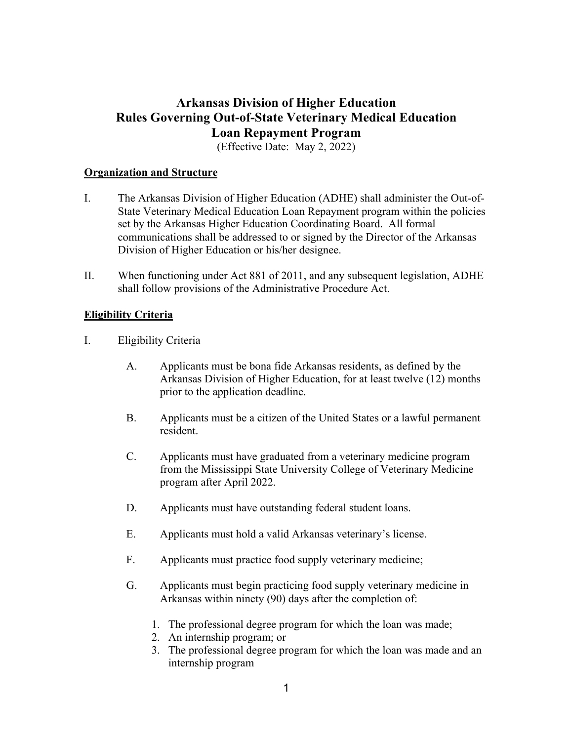# **Arkansas Division of Higher Education Rules Governing Out-of-State Veterinary Medical Education Loan Repayment Program**

(Effective Date: May 2, 2022)

#### **Organization and Structure**

- I. The Arkansas Division of Higher Education (ADHE) shall administer the Out-of-State Veterinary Medical Education Loan Repayment program within the policies set by the Arkansas Higher Education Coordinating Board. All formal communications shall be addressed to or signed by the Director of the Arkansas Division of Higher Education or his/her designee.
- II. When functioning under Act 881 of 2011, and any subsequent legislation, ADHE shall follow provisions of the Administrative Procedure Act.

## **Eligibility Criteria**

- I. Eligibility Criteria
	- A. Applicants must be bona fide Arkansas residents, as defined by the Arkansas Division of Higher Education, for at least twelve (12) months prior to the application deadline.
	- B. Applicants must be a citizen of the United States or a lawful permanent resident.
	- C. Applicants must have graduated from a veterinary medicine program from the Mississippi State University College of Veterinary Medicine program after April 2022.
	- D. Applicants must have outstanding federal student loans.
	- E. Applicants must hold a valid Arkansas veterinary's license.
	- F. Applicants must practice food supply veterinary medicine;
	- G. Applicants must begin practicing food supply veterinary medicine in Arkansas within ninety (90) days after the completion of:
		- 1. The professional degree program for which the loan was made;
		- 2. An internship program; or
		- 3. The professional degree program for which the loan was made and an internship program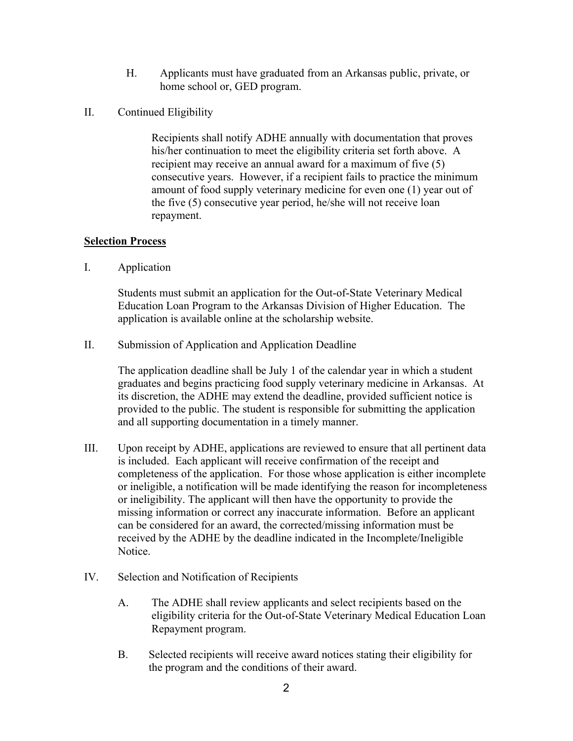- H. Applicants must have graduated from an Arkansas public, private, or home school or, GED program.
- II. Continued Eligibility

Recipients shall notify ADHE annually with documentation that proves his/her continuation to meet the eligibility criteria set forth above. A recipient may receive an annual award for a maximum of five (5) consecutive years. However, if a recipient fails to practice the minimum amount of food supply veterinary medicine for even one (1) year out of the five (5) consecutive year period, he/she will not receive loan repayment.

## **Selection Process**

I. Application

Students must submit an application for the Out-of-State Veterinary Medical Education Loan Program to the Arkansas Division of Higher Education. The application is available online at the scholarship website.

II. Submission of Application and Application Deadline

The application deadline shall be July 1 of the calendar year in which a student graduates and begins practicing food supply veterinary medicine in Arkansas. At its discretion, the ADHE may extend the deadline, provided sufficient notice is provided to the public. The student is responsible for submitting the application and all supporting documentation in a timely manner.

- III. Upon receipt by ADHE, applications are reviewed to ensure that all pertinent data is included. Each applicant will receive confirmation of the receipt and completeness of the application. For those whose application is either incomplete or ineligible, a notification will be made identifying the reason for incompleteness or ineligibility. The applicant will then have the opportunity to provide the missing information or correct any inaccurate information. Before an applicant can be considered for an award, the corrected/missing information must be received by the ADHE by the deadline indicated in the Incomplete/Ineligible Notice.
- IV. Selection and Notification of Recipients
	- A. The ADHE shall review applicants and select recipients based on the eligibility criteria for the Out-of-State Veterinary Medical Education Loan Repayment program.
	- B. Selected recipients will receive award notices stating their eligibility for the program and the conditions of their award.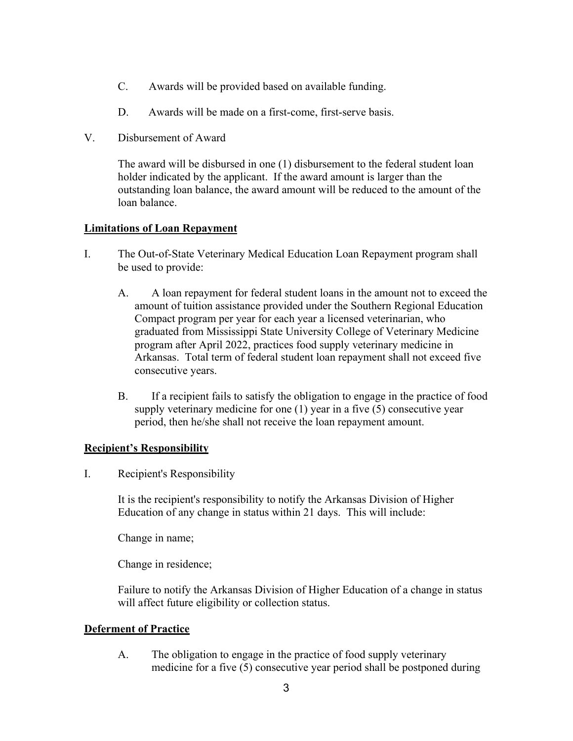- C. Awards will be provided based on available funding.
- D. Awards will be made on a first-come, first-serve basis.
- V. Disbursement of Award

The award will be disbursed in one (1) disbursement to the federal student loan holder indicated by the applicant. If the award amount is larger than the outstanding loan balance, the award amount will be reduced to the amount of the loan balance.

## **Limitations of Loan Repayment**

- I. The Out-of-State Veterinary Medical Education Loan Repayment program shall be used to provide:
	- A. A loan repayment for federal student loans in the amount not to exceed the amount of tuition assistance provided under the Southern Regional Education Compact program per year for each year a licensed veterinarian, who graduated from Mississippi State University College of Veterinary Medicine program after April 2022, practices food supply veterinary medicine in Arkansas. Total term of federal student loan repayment shall not exceed five consecutive years.
	- B. If a recipient fails to satisfy the obligation to engage in the practice of food supply veterinary medicine for one (1) year in a five (5) consecutive year period, then he/she shall not receive the loan repayment amount.

#### **Recipient's Responsibility**

I. Recipient's Responsibility

It is the recipient's responsibility to notify the Arkansas Division of Higher Education of any change in status within 21 days. This will include:

Change in name;

Change in residence;

Failure to notify the Arkansas Division of Higher Education of a change in status will affect future eligibility or collection status.

## **Deferment of Practice**

A. The obligation to engage in the practice of food supply veterinary medicine for a five (5) consecutive year period shall be postponed during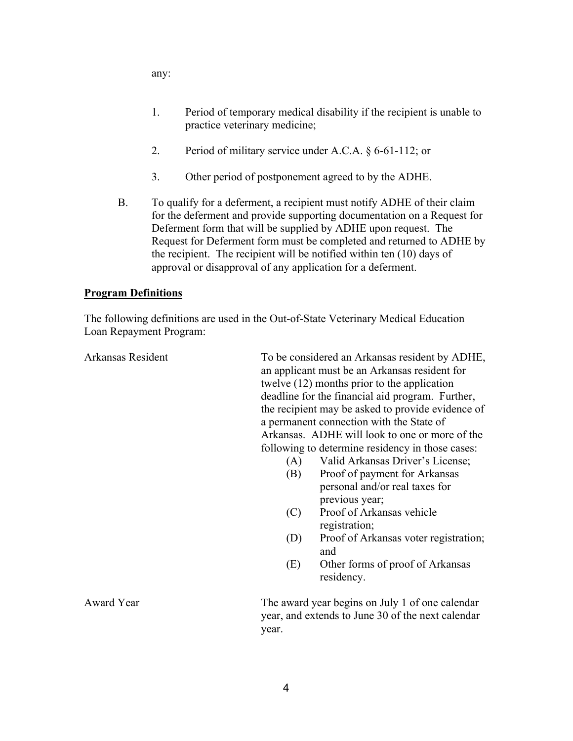any:

- 1. Period of temporary medical disability if the recipient is unable to practice veterinary medicine;
- 2. Period of military service under A.C.A. § 6-61-112; or
- 3. Other period of postponement agreed to by the ADHE.
- B. To qualify for a deferment, a recipient must notify ADHE of their claim for the deferment and provide supporting documentation on a Request for Deferment form that will be supplied by ADHE upon request. The Request for Deferment form must be completed and returned to ADHE by the recipient. The recipient will be notified within ten (10) days of approval or disapproval of any application for a deferment.

#### **Program Definitions**

The following definitions are used in the Out-of-State Veterinary Medical Education Loan Repayment Program:

Arkansas Resident To be considered an Arkansas resident by ADHE, an applicant must be an Arkansas resident for twelve (12) months prior to the application deadline for the financial aid program. Further, the recipient may be asked to provide evidence of a permanent connection with the State of Arkansas. ADHE will look to one or more of the following to determine residency in those cases:

- (A) Valid Arkansas Driver's License;
- (B) Proof of payment for Arkansas personal and/or real taxes for previous year;
- (C) Proof of Arkansas vehicle registration;
- (D) Proof of Arkansas voter registration; and
- (E) Other forms of proof of Arkansas residency.

Award Year The award year begins on July 1 of one calendar year, and extends to June 30 of the next calendar year.